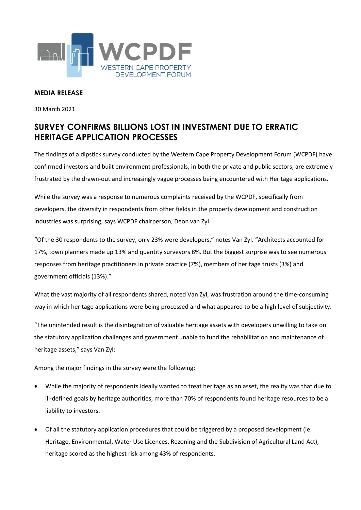

## **MEDIA RELEASE**

30 March 2021

## **SURVEY CONFIRMS BILLIONS LOST IN INVESTMENT DUE TO ERRATIC HERITAGE APPLICATION PROCESSES**

The findings of a dipstick survey conducted by the Western Cape Property Development Forum (WCPDF) have confirmed investors and built environment professionals, in both the private and public sectors, are extremely frustrated by the drawn-out and increasingly vague processes being encountered with Heritage applications.

While the survey was a response to numerous complaints received by the WCPDF, specifically from developers, the diversity in respondents from other fields in the property development and construction industries was surprising, says WCPDF chairperson, Deon van Zyl.

"Of the 30 respondents to the survey, only 23% were developers," notes Van Zyl. "Architects accounted for 17%, town planners made up 13% and quantity surveyors 8%. But the biggest surprise was to see numerous responses from heritage practitioners in private practice (7%), members of heritage trusts (3%) and government officials (13%)."

What the vast majority of all respondents shared, noted Van Zyl, was frustration around the time-consuming way in which heritage applications were being processed and what appeared to be a high level of subjectivity.

"The unintended result is the disintegration of valuable heritage assets with developers unwilling to take on the statutory application challenges and government unable to fund the rehabilitation and maintenance of heritage assets," says Van Zyl:

Among the major findings in the survey were the following:

- While the majority of respondents ideally wanted to treat heritage as an asset, the reality was that due to ill-defined goals by heritage authorities, more than 70% of respondents found heritage resources to be a liability to investors.
- Of all the statutory application procedures that could be triggered by a proposed development (ie: Heritage, Environmental, Water Use Licences, Rezoning and the Subdivision of Agricultural Land Act), heritage scored as the highest risk among 43% of respondents.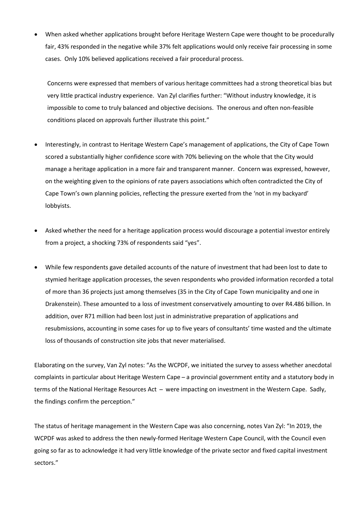When asked whether applications brought before Heritage Western Cape were thought to be procedurally fair, 43% responded in the negative while 37% felt applications would only receive fair processing in some cases. Only 10% believed applications received a fair procedural process.

Concerns were expressed that members of various heritage committees had a strong theoretical bias but very little practical industry experience. Van Zyl clarifies further: "Without industry knowledge, it is impossible to come to truly balanced and objective decisions. The onerous and often non-feasible conditions placed on approvals further illustrate this point."

- Interestingly, in contrast to Heritage Western Cape's management of applications, the City of Cape Town scored a substantially higher confidence score with 70% believing on the whole that the City would manage a heritage application in a more fair and transparent manner. Concern was expressed, however, on the weighting given to the opinions of rate payers associations which often contradicted the City of Cape Town's own planning policies, reflecting the pressure exerted from the 'not in my backyard' lobbyists.
- Asked whether the need for a heritage application process would discourage a potential investor entirely from a project, a shocking 73% of respondents said "yes".
- While few respondents gave detailed accounts of the nature of investment that had been lost to date to stymied heritage application processes, the seven respondents who provided information recorded a total of more than 36 projects just among themselves (35 in the City of Cape Town municipality and one in Drakenstein). These amounted to a loss of investment conservatively amounting to over R4.486 billion. In addition, over R71 million had been lost just in administrative preparation of applications and resubmissions, accounting in some cases for up to five years of consultants' time wasted and the ultimate loss of thousands of construction site jobs that never materialised.

Elaborating on the survey, Van Zyl notes: "As the WCPDF, we initiated the survey to assess whether anecdotal complaints in particular about Heritage Western Cape - a provincial government entity and a statutory body in terms of the National Heritage Resources Act - were impacting on investment in the Western Cape. Sadly, the findings confirm the perception."

The status of heritage management in the Western Cape was also concerning, notes Van Zyl: "In 2019, the WCPDF was asked to address the then newly-formed Heritage Western Cape Council, with the Council even going so far as to acknowledge it had very little knowledge of the private sector and fixed capital investment sectors."